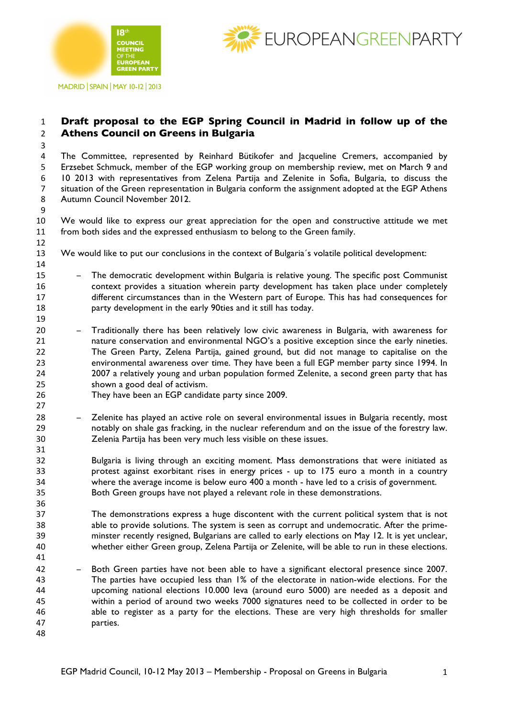



## **Draft proposal to the EGP Spring Council in Madrid in follow up of the Athens Council on Greens in Bulgaria**

- The Committee, represented by Reinhard Bütikofer and Jacqueline Cremers, accompanied by Erzsebet Schmuck, member of the EGP working group on membership review, met on March 9 and 10 2013 with representatives from Zelena Partija and Zelenite in Sofia, Bulgaria, to discuss the situation of the Green representation in Bulgaria conform the assignment adopted at the EGP Athens Autumn Council November 2012.
- We would like to express our great appreciation for the open and constructive attitude we met from both sides and the expressed enthusiasm to belong to the Green family.
- We would like to put our conclusions in the context of Bulgaria´s volatile political development:
- 15 The democratic development within Bulgaria is relative young. The specific post Communist context provides a situation wherein party development has taken place under completely different circumstances than in the Western part of Europe. This has had consequences for party development in the early 90ties and it still has today.
- 20 Traditionally there has been relatively low civic awareness in Bulgaria, with awareness for 21 nature conservation and environmental NGO's a positive exception since the early nineties. The Green Party, Zelena Partija, gained ground, but did not manage to capitalise on the environmental awareness over time. They have been a full EGP member party since 1994. In 2007 a relatively young and urban population formed Zelenite, a second green party that has shown a good deal of activism.
- They have been an EGP candidate party since 2009.
- 28 − Zelenite has played an active role on several environmental issues in Bulgaria recently, most notably on shale gas fracking, in the nuclear referendum and on the issue of the forestry law. Zelenia Partija has been very much less visible on these issues.
- Bulgaria is living through an exciting moment. Mass demonstrations that were initiated as protest against exorbitant rises in energy prices - up to 175 euro a month in a country where the average income is below euro 400 a month - have led to a crisis of government. Both Green groups have not played a relevant role in these demonstrations.
- The demonstrations express a huge discontent with the current political system that is not able to provide solutions. The system is seen as corrupt and undemocratic. After the prime- minster recently resigned, Bulgarians are called to early elections on May 12. It is yet unclear, whether either Green group, Zelena Partija or Zelenite, will be able to run in these elections.
- − Both Green parties have not been able to have a significant electoral presence since 2007. The parties have occupied less than 1% of the electorate in nation-wide elections. For the upcoming national elections 10.000 leva (around euro 5000) are needed as a deposit and within a period of around two weeks 7000 signatures need to be collected in order to be able to register as a party for the elections. These are very high thresholds for smaller parties.
-